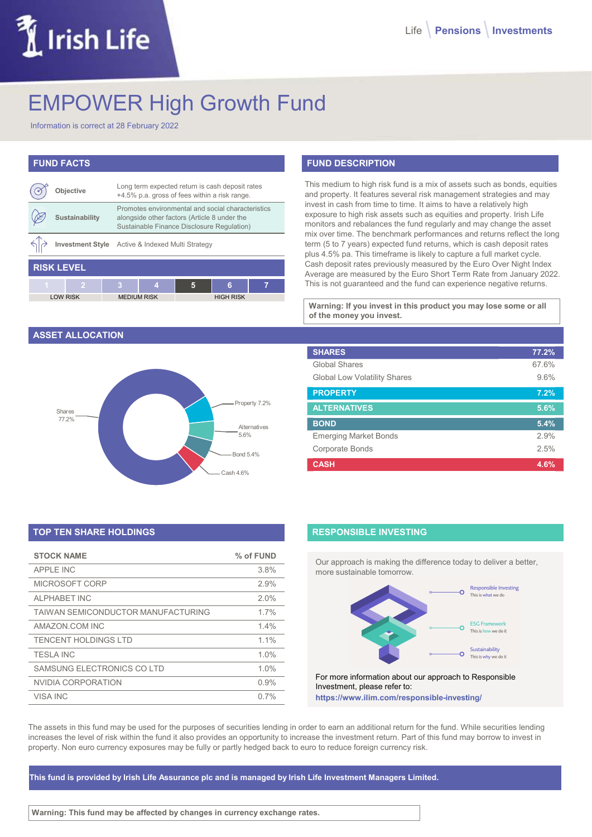# Irish Life

# EMPOWER High Growth Fund

Information is correct at 28 February 2022

# FUND FACTS

|                   | <b>Objective</b> |   | Long term expected return is cash deposit rates<br>+4.5% p.a. gross of fees within a risk range.                                                |   |                  |   |
|-------------------|------------------|---|-------------------------------------------------------------------------------------------------------------------------------------------------|---|------------------|---|
|                   | Sustainability   |   | Promotes environmental and social characteristics<br>alongside other factors (Article 8 under the<br>Sustainable Finance Disclosure Regulation) |   |                  |   |
|                   |                  |   | Investment Style Active & Indexed Multi Strategy                                                                                                |   |                  |   |
| <b>RISK LEVEL</b> |                  |   |                                                                                                                                                 |   |                  |   |
| $\overline{1}$    | 2                | 3 | 4                                                                                                                                               | 5 | 6                | 7 |
|                   | <b>LOW RISK</b>  |   | <b>MEDIUM RISK</b>                                                                                                                              |   | <b>HIGH RISK</b> |   |

#### ASSET ALLOCATION



# TOP TEN SHARE HOLDINGS

| <b>STOCK NAME</b>                  | % of FUND |
|------------------------------------|-----------|
| APPI F INC                         | 3.8%      |
| MICROSOFT CORP                     | 2.9%      |
| <b>ALPHABET INC</b>                | 2.0%      |
| TAIWAN SEMICONDUCTOR MANUFACTURING | 1.7%      |
| AMAZON COM INC                     | 14%       |
| TENCENT HOLDINGS LTD               | $1.1\%$   |
| <b>TESLA INC</b>                   | 1.0%      |
| SAMSUNG ELECTRONICS CO LTD         | $1.0\%$   |
| NVIDIA CORPORATION                 | 0.9%      |
| VISA INC                           | 0.7%      |

## FUND DESCRIPTION

| deposit rates<br>isk range.                            | This medium to high risk fund is a mix of assets such as bonds, equities<br>and property. It features several risk management strategies and may                                                                                                                                                                                                                                                                                                                                                                                                                                                                                                                         |       |
|--------------------------------------------------------|--------------------------------------------------------------------------------------------------------------------------------------------------------------------------------------------------------------------------------------------------------------------------------------------------------------------------------------------------------------------------------------------------------------------------------------------------------------------------------------------------------------------------------------------------------------------------------------------------------------------------------------------------------------------------|-------|
| al characteristics<br>nder the<br>equlation)<br>7<br>6 | invest in cash from time to time. It aims to have a relatively high<br>exposure to high risk assets such as equities and property. Irish Life<br>monitors and rebalances the fund regularly and may change the asset<br>mix over time. The benchmark performances and returns reflect the long<br>term (5 to 7 years) expected fund returns, which is cash deposit rates<br>plus 4.5% pa. This timeframe is likely to capture a full market cycle.<br>Cash deposit rates previously measured by the Euro Over Night Index<br>Average are measured by the Euro Short Term Rate from January 2022.<br>This is not guaranteed and the fund can experience negative returns. |       |
| <b>GH RISK</b>                                         |                                                                                                                                                                                                                                                                                                                                                                                                                                                                                                                                                                                                                                                                          |       |
|                                                        | Warning: If you invest in this product you may lose some or all                                                                                                                                                                                                                                                                                                                                                                                                                                                                                                                                                                                                          |       |
|                                                        | of the money you invest.                                                                                                                                                                                                                                                                                                                                                                                                                                                                                                                                                                                                                                                 |       |
|                                                        |                                                                                                                                                                                                                                                                                                                                                                                                                                                                                                                                                                                                                                                                          |       |
|                                                        | <b>SHARES</b>                                                                                                                                                                                                                                                                                                                                                                                                                                                                                                                                                                                                                                                            | 77.2% |
|                                                        | Global Shares                                                                                                                                                                                                                                                                                                                                                                                                                                                                                                                                                                                                                                                            | 67.6% |
|                                                        | <b>Global Low Volatility Shares</b>                                                                                                                                                                                                                                                                                                                                                                                                                                                                                                                                                                                                                                      | 9.6%  |
|                                                        | <b>PROPERTY</b>                                                                                                                                                                                                                                                                                                                                                                                                                                                                                                                                                                                                                                                          | 7.2%  |
| Property 7.2%                                          | <b>ALTERNATIVES</b>                                                                                                                                                                                                                                                                                                                                                                                                                                                                                                                                                                                                                                                      | 5.6%  |
|                                                        | <b>BOND</b>                                                                                                                                                                                                                                                                                                                                                                                                                                                                                                                                                                                                                                                              | 5.4%  |
| Alternatives<br>5.6%                                   | <b>Emerging Market Bonds</b>                                                                                                                                                                                                                                                                                                                                                                                                                                                                                                                                                                                                                                             | 2.9%  |
| Bond 5.4%                                              | <b>Corporate Bonds</b>                                                                                                                                                                                                                                                                                                                                                                                                                                                                                                                                                                                                                                                   | 2.5%  |

#### RESPONSIBLE INVESTING

Our approach is making the difference today to deliver a better, more sustainable tomorrow.



For more information about our approach to Responsible Investment, please refer to: https://www.ilim.com/responsible-investing/

The assets in this fund may be used for the purposes of securities lending in order to earn an additional return for the fund. While securities lending increases the level of risk within the fund it also provides an opportunity to increase the investment return. Part of this fund may borrow to invest in property. Non euro currency exposures may be fully or partly hedged back to euro to reduce foreign currency risk.

This fund is provided by Irish Life Assurance plc and is managed by Irish Life Investment Managers Limited.

Warning: This fund may be affected by changes in currency exchange rates.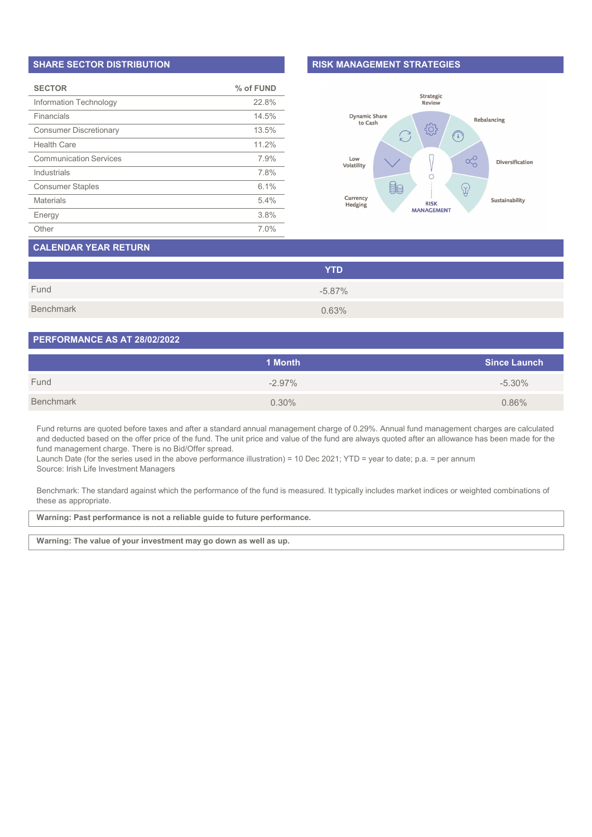#### SHARE SECTOR DISTRIBUTION

| <b>SECTOR</b>                 | % of FUND |
|-------------------------------|-----------|
| Information Technology        | 22.8%     |
| Financials                    | 14.5%     |
| <b>Consumer Discretionary</b> | 13.5%     |
| Health Care                   | 11 2%     |
| <b>Communication Services</b> | 7.9%      |
| Industrials                   | 7.8%      |
| <b>Consumer Staples</b>       | 6.1%      |
| <b>Materials</b>              | 5.4%      |
| Energy                        | 3.8%      |
| Other                         | 7.0%      |

#### RISK MANAGEMENT STRATEGIES



# CALENDAR YEAR RETURN

|           | <b>YTD</b> |
|-----------|------------|
| Fund      | $-5.87%$   |
| Benchmark | 0.63%      |

#### PERFORMANCE AS AT 28/02/2022

|           | 1 Month  | <b>Since Launch</b> |
|-----------|----------|---------------------|
| Fund      | $-2.97%$ | $-5.30\%$           |
| Benchmark | 0.30%    | 0.86%               |

Fund returns are quoted before taxes and after a standard annual management charge of 0.29%. Annual fund management charges are calculated and deducted based on the offer price of the fund. The unit price and value of the fund are always quoted after an allowance has been made for the fund management charge. There is no Bid/Offer spread.

Launch Date (for the series used in the above performance illustration) = 10 Dec 2021; YTD = year to date; p.a. = per annum Source: Irish Life Investment Managers

Benchmark: The standard against which the performance of the fund is measured. It typically includes market indices or weighted combinations of these as appropriate.

Warning: Past performance is not a reliable guide to future performance.

Warning: The value of your investment may go down as well as up.